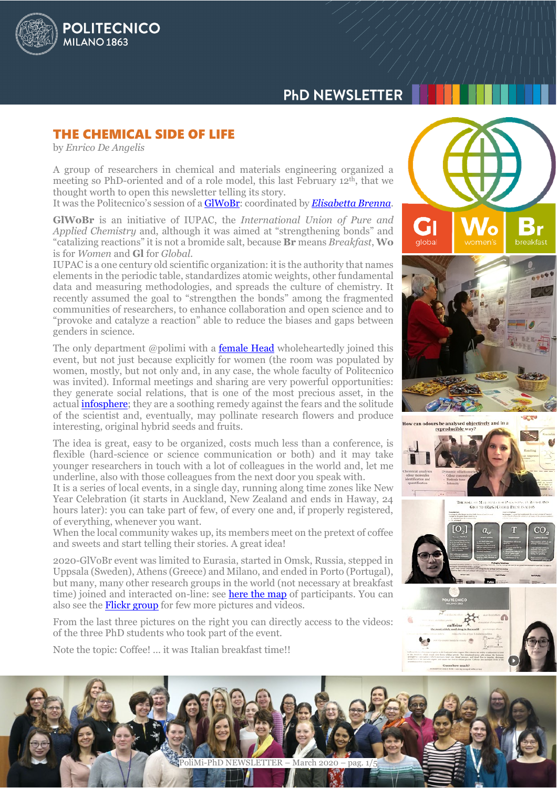

# **PHD NEWSLETTER**

# THE CHEMICAL SIDE OF LIFE

by *Enrico De Angelis*

A group of researchers in chemical and materials engineering organized a meeting so PhD-oriented and of a role model, this last February 12th, that we thought worth to open this newsletter telling its story.

It was the Politecnico's session of [a GlWoBr:](https://iupac.org/100/global-breakfast/) coordinated by *[Elisabetta Brenna](https://www.cmic.polimi.it/dipartimento/persone/personale-docente/brenna-maria-elisabetta/)*.

**GlWoBr** is an initiative of IUPAC, the *International Union of Pure and Applied Chemistry* and, although it was aimed at "strengthening bonds" and "catalizing reactions" it is not a bromide salt, because **Br** means *Breakfast*, **Wo** is for *Women* and **Gl** for *Global*.

IUPAC is a one century old scientific organization: it is the authority that names elements in the periodic table, standardizes atomic weights, other fundamental data and measuring methodologies, and spreads the culture of chemistry. It recently assumed the goal to "strengthen the bonds" among the fragmented communities of researchers, to enhance collaboration and open science and to "provoke and catalyze a reaction" able to reduce the biases and gaps between genders in science.

The only department @polimi with a **female Head** wholeheartedly joined this event, but not just because explicitly for women (the room was populated by women, mostly, but not only and, in any case, the whole faculty of Politecnico was invited). Informal meetings and sharing are very powerful opportunities: they generate social relations, that is one of the most precious asset, in the actual [infosphere;](https://en.wikipedia.org/wiki/Infosphere) they are a soothing remedy against the fears and the solitude of the scientist and, eventually, may pollinate research flowers and produce interesting, original hybrid seeds and fruits.

The idea is great, easy to be organized, costs much less than a conference, is flexible (hard-science or science communication or both) and it may take younger researchers in touch with a lot of colleagues in the world and, let me underline, also with those colleagues from the next door you speak with.

It is a series of local events, in a single day, running along time zones like New Year Celebration (it starts in Auckland, New Zealand and ends in Haway, 24 hours later): you can take part of few, of every one and, if properly registered, of everything, whenever you want.

When the local community wakes up, its members meet on the pretext of coffee and sweets and start telling their stories. A great idea!

2020-GlVoBr event was limited to Eurasia, started in Omsk, Russia, stepped in Uppsala (Sweden), Athens (Greece) and Milano, and ended in Porto (Portugal), but many, many other research groups in the world (not necessary at breakfast time) joined and interacted on-line: see **here the map** of participants. You can also see the **Flickr group** for few more pictures and videos.

From the last three pictures on the right you can directly access to the videos: of the three PhD students who took part of the event.

Note the topic: Coffee! … it was Italian breakfast time!!

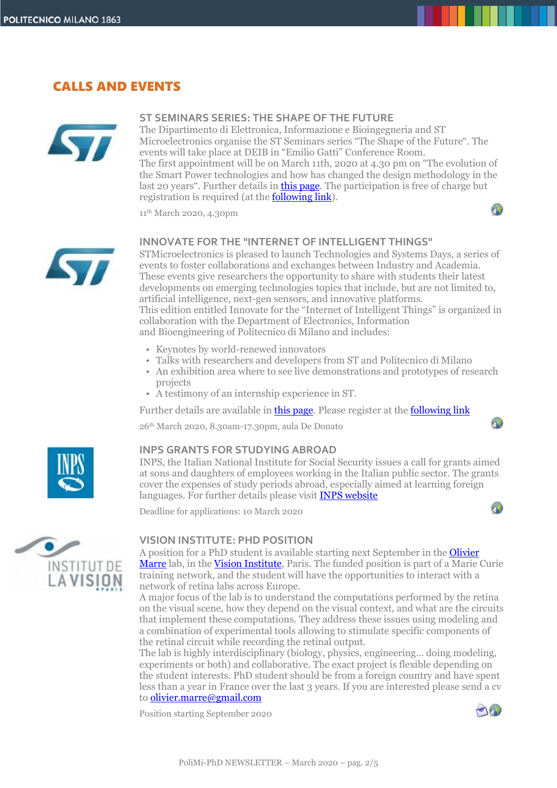# CALLS AND EVENTS



### **ST SEMINARS SERIES: THE SHAPE OF THE FUTURE**

The Dipartimento di Elettronica, Informazione e Bioingegneria and ST Microelectronics organise the ST Seminars series "The Shape of the Future". The events will take place at DEIB in "Emilio Gatti" Conference Room. The first appointment will be on March 11th, 2020 at 4.30 pm on "The evolution of the Smart Power technologies and how has changed the design methodology in the last 20 years". Further details in **this page**. The participation is free of charge but registration is required (at the **following link**).

11th March 2020, 4.30pm



### **INNOVATE FOR THE "INTERNET OF INTELLIGENT THINGS"**

STMicroelectronics is pleased to launch Technologies and Systems Days, a series of events to foster collaborations and exchanges between Industry and Academia. These events give researchers the opportunity to share with students their latest developments on emerging technologies topics that include, but are not limited to, artificial intelligence, next-gen sensors, and innovative platforms. This edition entitled Innovate for the "Internet of Intelligent Things" is organized in collaboration with the Department of Electronics, Information

and Bioengineering of Politecnico di Milano and includes:

- Keynotes by world-renewed innovators
- Talks with researchers and developers from ST and Politecnico di Milano
- An exhibition area where to see live demonstrations and prototypes of research projects
- A testimony of an internship experience in ST.

Further details are available in **this page**. Please register at the **following link** 

26th March 2020, 8.30am-17.30pm, aula De Donato

 $\Lambda$ 

 $\bigcap$ 



### **INPS GRANTS FOR STUDYING ABROAD**

INPS, the Italian National Institute for Social Security issues a call for grants aimed at sons and daughters of employees working in the Italian public sector. The grants cover the expenses of study periods abroad, especially aimed at learning foreign languages. For further details please visit **[INPS website](https://www.inps.it/nuovoportaleinps/default.aspx?itemdir=50050)** 

Deadline for applications: 10 March 2020



### **VISION INSTITUTE: PHD POSITION**

A position for a PhD student is available starting next September in the **Olivier** [Marre](http://oliviermarre.free.fr/) lab, in the [Vision Institute,](http://www.institut-vision.org/en/) Paris. The funded position is part of a Marie Curie training network, and the student will have the opportunities to interact with a network of retina labs across Europe.

A major focus of the lab is to understand the computations performed by the retina on the visual scene, how they depend on the visual context, and what are the circuits that implement these computations. They address these issues using modeling and a combination of experimental tools allowing to stimulate specific components of the retinal circuit while recording the retinal output.

The lab is highly interdisciplinary (biology, physics, engineering… doing modeling, experiments or both) and collaborative. The exact project is flexible depending on the student interests. PhD student should be from a foreign country and have spent less than a year in France over the last 3 years. If you are interested please send a cv t[o olivier.marre@gmail.com](mailto:olivier.marre@gmail.com)

Position starting September 2020

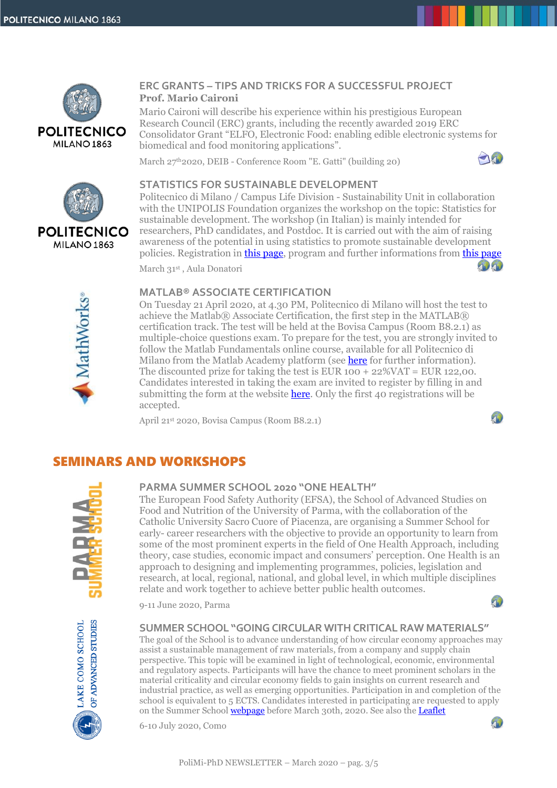

# **ERC GRANTS – TIPS AND TRICKS FOR A SUCCESSFUL PROJECT Prof. Mario Caironi**

Mario Caironi will describe his experience within his prestigious European Research Council (ERC) grants, including the recently awarded 2019 ERC Consolidator Grant "ELFO, Electronic Food: enabling edible electronic systems for biomedical and food monitoring applications".

March 27<sup>th</sup>2020, DEIB - Conference Room "E. Gatti" (building 20)





MathWorks

# **STATISTICS FOR SUSTAINABLE DEVELOPMENT**

Politecnico di Milano / Campus Life Division - Sustainability Unit in collaboration with the UNIPOLIS Foundation organizes the workshop on the topic: Statistics for sustainable development. The workshop (in Italian) is mainly intended for researchers, PhD candidates, and Postdoc. It is carried out with the aim of raising awareness of the potential in using statistics to promote sustainable development policies. Registration in [this page,](https://bit.ly/2vhfN74) program and further informations from [this page](https://bit.ly/37ktoHU)

March 31st , Aula Donatori

# **MATLAB® ASSOCIATE CERTIFICATION**

On Tuesday 21 April 2020, at 4.30 PM, Politecnico di Milano will host the test to achieve the Matlab® Associate Certification, the first step in the MATLAB® certification track. The test will be held at the Bovisa Campus (Room B8.2.1) as multiple-choice questions exam. To prepare for the test, you are strongly invited to follow the Matlab Fundamentals online course, available for all Politecnico di Milano from the Matlab Academy platform (see **here** for further information). The discounted prize for taking the test is EUR  $100 + 22\% \text{VAT} = \text{EUR } 122,00$ . Candidates interested in taking the exam are invited to register by filling in and submitting the form at the website **here**. Only the first 40 registrations will be accepted.

April 21st 2020, Bovisa Campus (Room B8.2.1)



 $\sqrt{2}$ 

 $\sqrt{2}$ 

# SEMINARS AND WORKSHOPS



# **PARMA SUMMER SCHOOL 2020 "ONE HEALTH"**

The European Food Safety Authority (EFSA), the School of Advanced Studies on Food and Nutrition of the University of Parma, with the collaboration of the Catholic University Sacro Cuore of Piacenza, are organising a Summer School for early- career researchers with the objective to provide an opportunity to learn from some of the most prominent experts in the field of One Health Approach, including theory, case studies, economic impact and consumers' perception. One Health is an approach to designing and implementing programmes, policies, legislation and research, at local, regional, national, and global level, in which multiple disciplines relate and work together to achieve better public health outcomes.

9-11 June 2020, Parma



#### **SUMMER SCHOOL "GOINGCIRCULAR WITH CRITICAL RAW MATERIALS"**

The goal of the School is to advance understanding of how circular economy approaches may assist a sustainable management of raw materials, from a company and supply chain perspective. This topic will be examined in light of technological, economic, environmental and regulatory aspects. Participants will have the chance to meet prominent scholars in the material criticality and circular economy fields to gain insights on current research and industrial practice, as well as emerging opportunities. Participation in and completion of the school is equivalent to 5 ECTS. Candidates interested in participating are requested to apply on the Summer School **webpage** before March 30th, 2020. See also the **Leaflet** 

6-10 July 2020, Como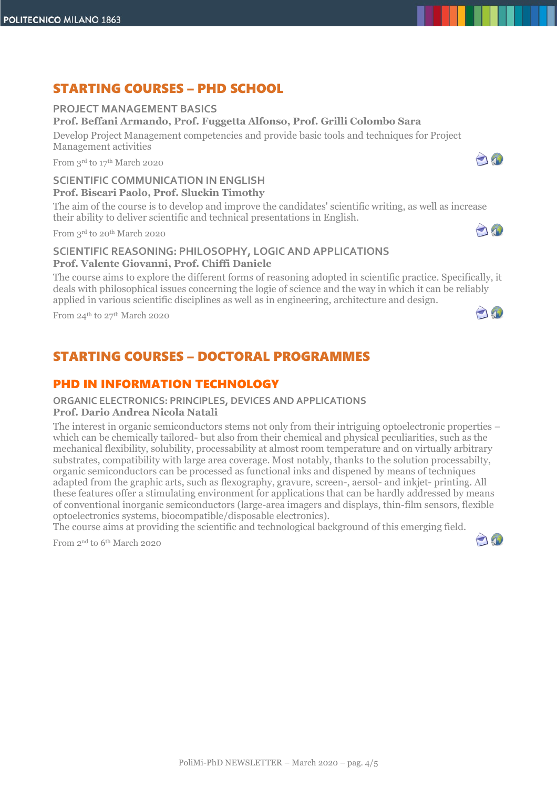# STARTING COURSES – PHD SCHOOL

# **PROJECT MANAGEMENT BASICS**

# **Prof. Beffani Armando, Prof. Fuggetta Alfonso, Prof. Grilli Colombo Sara**

Develop Project Management competencies and provide basic tools and techniques for Project Management activities

From 3rd to 17th March 2020

# **SCIENTIFIC COMMUNICATION IN ENGLISH Prof. Biscari Paolo, Prof. Sluckin Timothy**

The aim of the course is to develop and improve the candidates' scientific writing, as well as increase their ability to deliver scientific and technical presentations in English.

From 3rd to 20th March 2020

# **SCIENTIFIC REASONING: PHILOSOPHY, LOGIC AND APPLICATIONS Prof. Valente Giovanni, Prof. Chiffi Daniele**

The course aims to explore the different forms of reasoning adopted in scientific practice. Specifically, it deals with philosophical issues concerning the logie of science and the way in which it can be reliably applied in various scientific disciplines as well as in engineering, architecture and design.

From 24th to 27th March 2020

# STARTING COURSES – DOCTORAL PROGRAMMES

# PHD IN INFORMATION TECHNOLOGY

### **ORGANIC ELECTRONICS: PRINCIPLES, DEVICES AND APPLICATIONS**

#### **Prof. Dario Andrea Nicola Natali**

The interest in organic semiconductors stems not only from their intriguing optoelectronic properties – which can be chemically tailored- but also from their chemical and physical peculiarities, such as the mechanical flexibility, solubility, processability at almost room temperature and on virtually arbitrary substrates, compatibility with large area coverage. Most notably, thanks to the solution processabilty, organic semiconductors can be processed as functional inks and dispened by means of techniques adapted from the graphic arts, such as flexography, gravure, screen-, aersol- and inkjet- printing. All these features offer a stimulating environment for applications that can be hardly addressed by means of conventional inorganic semiconductors (large-area imagers and displays, thin-film sensors, flexible optoelectronics systems, biocompatible/disposable electronics).

The course aims at providing the scientific and technological background of this emerging field.

From 2nd to 6th March 2020



20